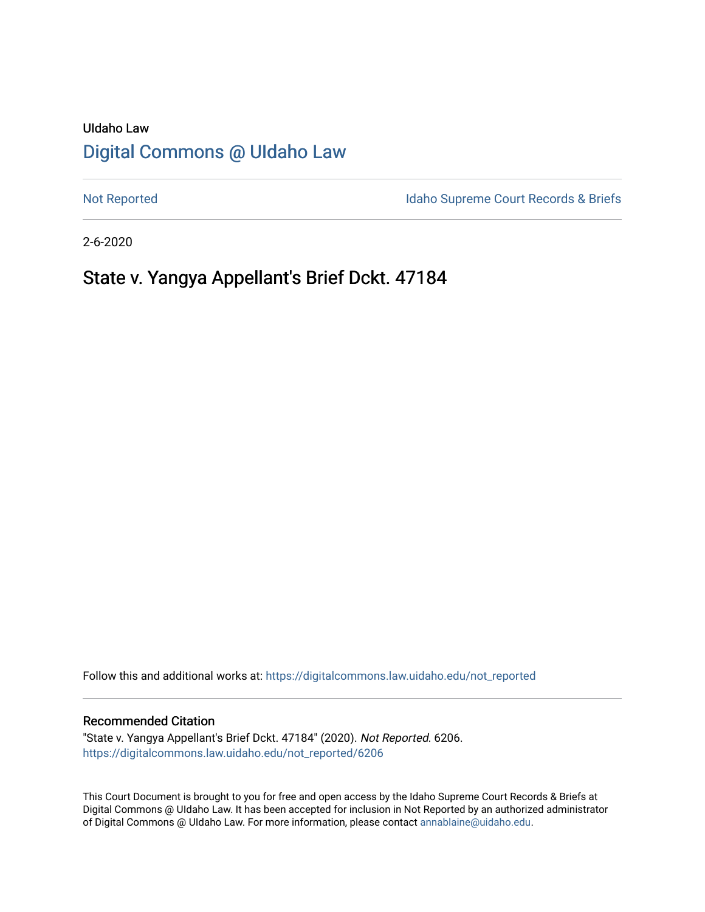# UIdaho Law [Digital Commons @ UIdaho Law](https://digitalcommons.law.uidaho.edu/)

[Not Reported](https://digitalcommons.law.uidaho.edu/not_reported) **Idaho Supreme Court Records & Briefs** 

2-6-2020

# State v. Yangya Appellant's Brief Dckt. 47184

Follow this and additional works at: [https://digitalcommons.law.uidaho.edu/not\\_reported](https://digitalcommons.law.uidaho.edu/not_reported?utm_source=digitalcommons.law.uidaho.edu%2Fnot_reported%2F6206&utm_medium=PDF&utm_campaign=PDFCoverPages) 

#### Recommended Citation

"State v. Yangya Appellant's Brief Dckt. 47184" (2020). Not Reported. 6206. [https://digitalcommons.law.uidaho.edu/not\\_reported/6206](https://digitalcommons.law.uidaho.edu/not_reported/6206?utm_source=digitalcommons.law.uidaho.edu%2Fnot_reported%2F6206&utm_medium=PDF&utm_campaign=PDFCoverPages)

This Court Document is brought to you for free and open access by the Idaho Supreme Court Records & Briefs at Digital Commons @ UIdaho Law. It has been accepted for inclusion in Not Reported by an authorized administrator of Digital Commons @ UIdaho Law. For more information, please contact [annablaine@uidaho.edu](mailto:annablaine@uidaho.edu).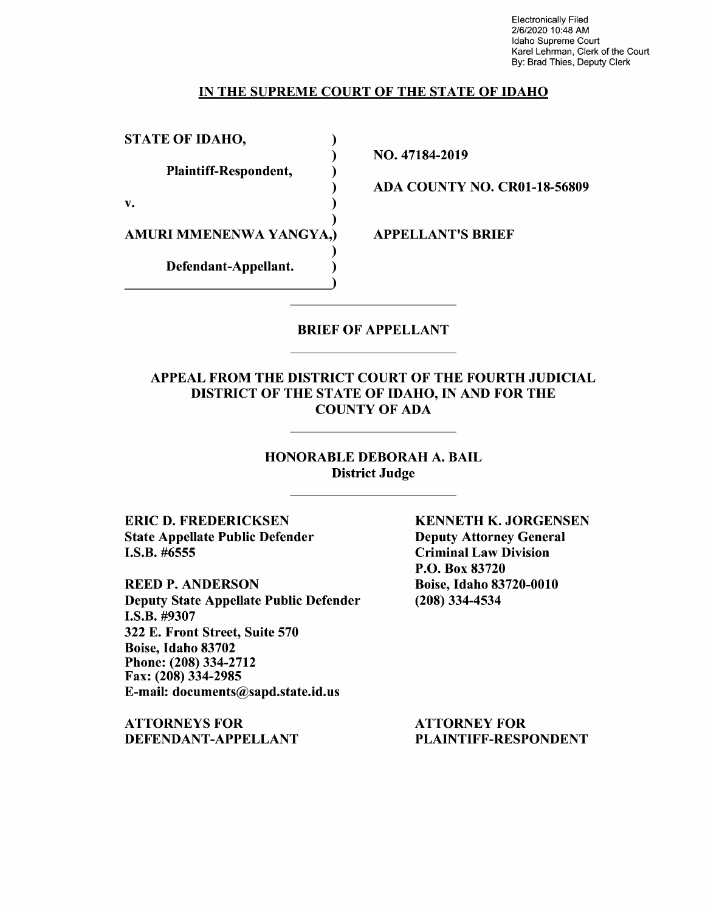Electronically Filed 2/6/2020 10:48 AM Idaho Supreme Court Karel Lehrman, Clerk of the Court By: Brad Thies, Deputy Clerk

### IN THE SUPREME COURT OF THE STATE OF IDAHO

)

)

)

)

STATE OF IDAHO,

Plaintiff-Respondent, )

 $\mathbf{v.}$  )

AMURI MMENENWA YANGYA,)

Defendant-Appellant.

NO. 47184-2019

ADA COUNTY NO. CR0l-18-56809

APPELLANT'S BRIEF

### BRIEF OF APPELLANT

### APPEAL FROM THE DISTRICT COURT OF THE FOURTH JUDICIAL DISTRICT OF THE STATE OF IDAHO, IN AND FOR THE COUNTY OF ADA

### HONORABLE DEBORAH A. BAIL District Judge

ERIC D. FREDERICKSEN State Appellate Public Defender I.S.B. #6555

REED P. ANDERSON Deputy State Appellate Public Defender **I.S.B.** #9307 322 E. Front Street, Suite 570 Boise, Idaho 83702 Phone:(208)334-2712 Fax: (208) 334-2985 E-mail: documents@sapd.state.id.us

**ATTORNEYS FOR DEFENDANT-APPELLANT**  **KENNETH K. JORGENSEN**  Deputy Attorney General Criminal Law Division P.O. Box 83720 Boise, Idaho 83720-0010 (208) 334-4534

ATTORNEY FOR PLAINTIFF-RESPONDENT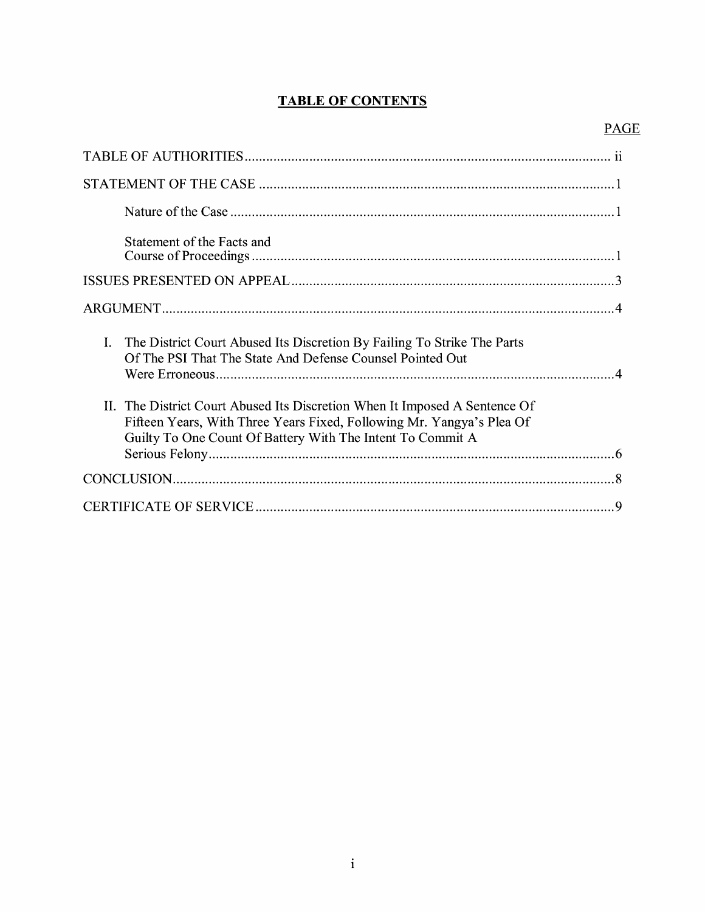# **TABLE OF CONTENTS**

# PAGE

| Statement of the Facts and                                                                                                                                                                                        |  |
|-------------------------------------------------------------------------------------------------------------------------------------------------------------------------------------------------------------------|--|
|                                                                                                                                                                                                                   |  |
|                                                                                                                                                                                                                   |  |
| I. The District Court Abused Its Discretion By Failing To Strike The Parts<br>Of The PSI That The State And Defense Counsel Pointed Out                                                                           |  |
| II. The District Court Abused Its Discretion When It Imposed A Sentence Of<br>Fifteen Years, With Three Years Fixed, Following Mr. Yangya's Plea Of<br>Guilty To One Count Of Battery With The Intent To Commit A |  |
|                                                                                                                                                                                                                   |  |
|                                                                                                                                                                                                                   |  |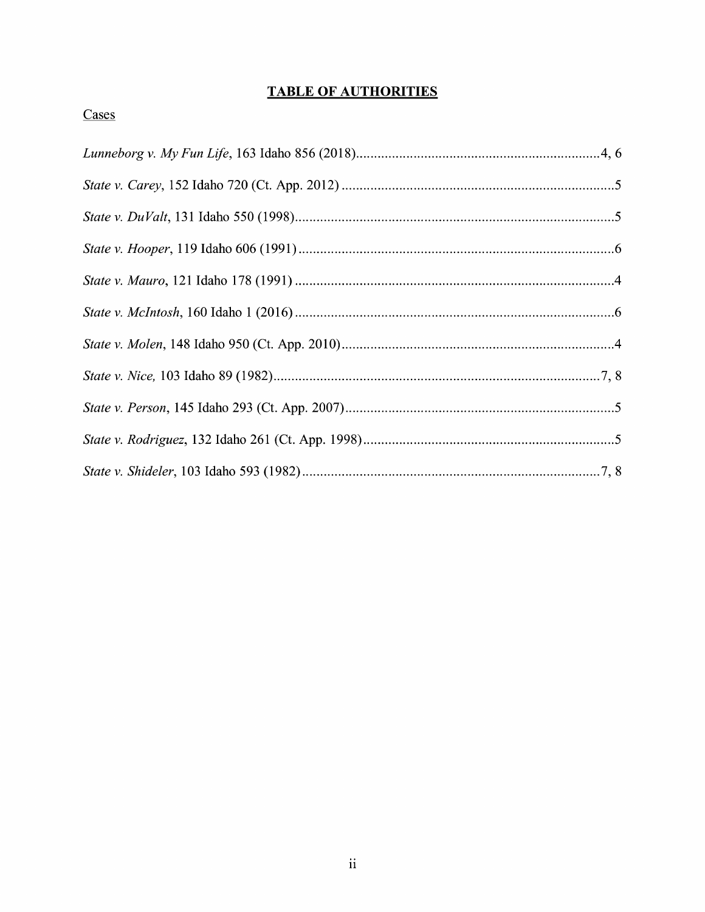## **TABLE OF AUTHORITIES**

### Cases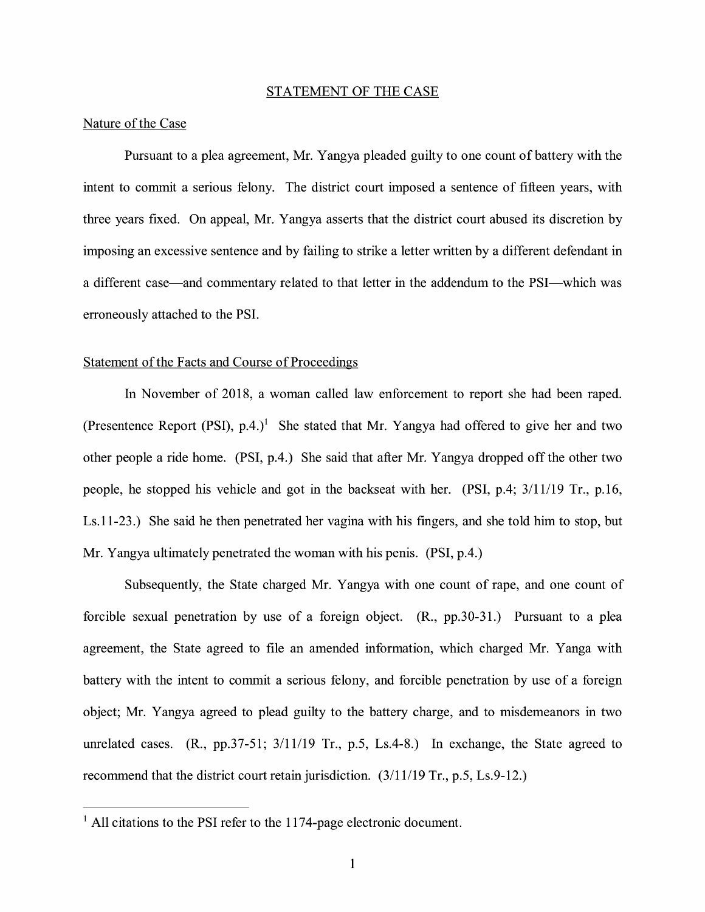#### STATEMENT OF THE CASE

#### Nature of the Case

Pursuant to a plea agreement, Mr. Y angya pleaded guilty to one count of battery with the intent to commit a serious felony. The district court imposed a sentence of fifteen years, with three years fixed. On appeal, Mr. Yangya asserts that the district court abused its discretion by imposing an excessive sentence and by failing to strike a letter written by a different defendant in a different case—and commentary related to that letter in the addendum to the PSI—which was erroneously attached to the PSI.

#### Statement of the Facts and Course of Proceedings

In November of 2018, a woman called law enforcement to report she had been raped. (Presentence Report (PSI), p.4.)<sup>1</sup> She stated that Mr. Yangya had offered to give her and two other people a ride home. (PSI, p.4.) She said that after Mr. Y angya dropped off the other two people, he stopped his vehicle and got in the backseat with her. (PSI, p.4; 3/11/19 Tr., p.16, Ls.11-23.) She said he then penetrated her vagina with his fingers, and she told him to stop, but Mr. Yangya ultimately penetrated the woman with his penis. **(PSI,** p.4.)

Subsequently, the State charged Mr. Yangya with one count of rape, and one count of forcible sexual penetration by use of a foreign object. **(R.,** pp.30-31.) Pursuant to a plea agreement, the State agreed to file an amended information, which charged Mr. Yanga with battery with the intent to commit a serious felony, and forcible penetration by use of a foreign object; Mr. Y angya agreed to plead guilty to the battery charge, and to misdemeanors in two unrelated cases. (R., pp.37-51; 3/11/19 Tr., p.5, Ls.4-8.) In exchange, the State agreed to recommend that the district court retain jurisdiction. (3/11/19 Tr., p.5, Ls.9-12.)

 $<sup>1</sup>$  All citations to the PSI refer to the 1174-page electronic document.</sup>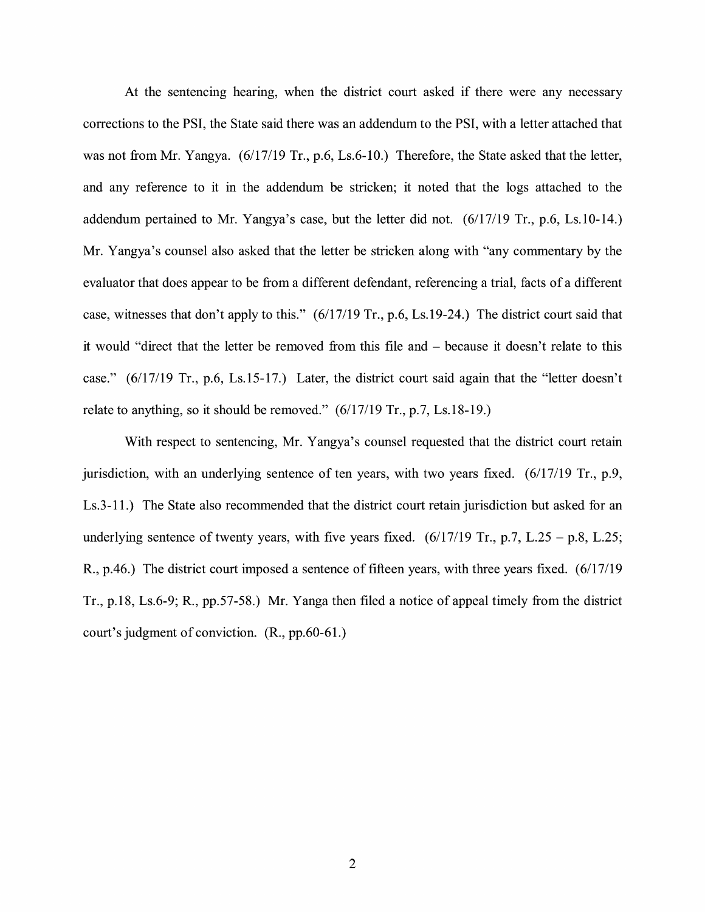At the sentencing hearing, when the district court asked if there were any necessary corrections to the PSI, the State said there was an addendum to the PSI, with a letter attached that was not from Mr. Yangya.  $(6/17/19 \text{ Tr}., p.6, Ls.6-10.)$  Therefore, the State asked that the letter, and any reference to it in the addendum be stricken; it noted that the logs attached to the addendum pertained to Mr. Yangya's case, but the letter did not. (6/17/19 Tr., p.6, Ls.10-14.) Mr. Yangya's counsel also asked that the letter be stricken along with "any commentary by the evaluator that does appear to be from a different defendant, referencing a trial, facts of a different case, witnesses that don't apply to this." (6/17/19 Tr., p.6, Ls.19-24.) The district court said that it would "direct that the letter be removed from this file and – because it doesn't relate to this case." (6/17/19 Tr., p.6, Ls.15-17.) Later, the district court said again that the "letter doesn't relate to anything, so it should be removed." (6/17/19 Tr., p.7, Ls.18-19.)

With respect to sentencing, Mr. Yangya's counsel requested that the district court retain jurisdiction, with an underlying sentence of ten years, with two years fixed.  $(6/17/19 \text{ Tr.}, p.9,$ Ls. 3-11.) The State also recommended that the district court retain jurisdiction but asked for an underlying sentence of twenty years, with five years fixed.  $(6/17/19 \text{ Tr}$ , p.7, L.25 - p.8, L.25; R., p.46.) The district court imposed a sentence of fifteen years, with three years fixed. (6/17/19 Tr., p.18, Ls.6-9; R., pp.57-58.) Mr. Yanga then filed a notice of appeal timely from the district court's judgment of conviction. (R., pp.60-61.)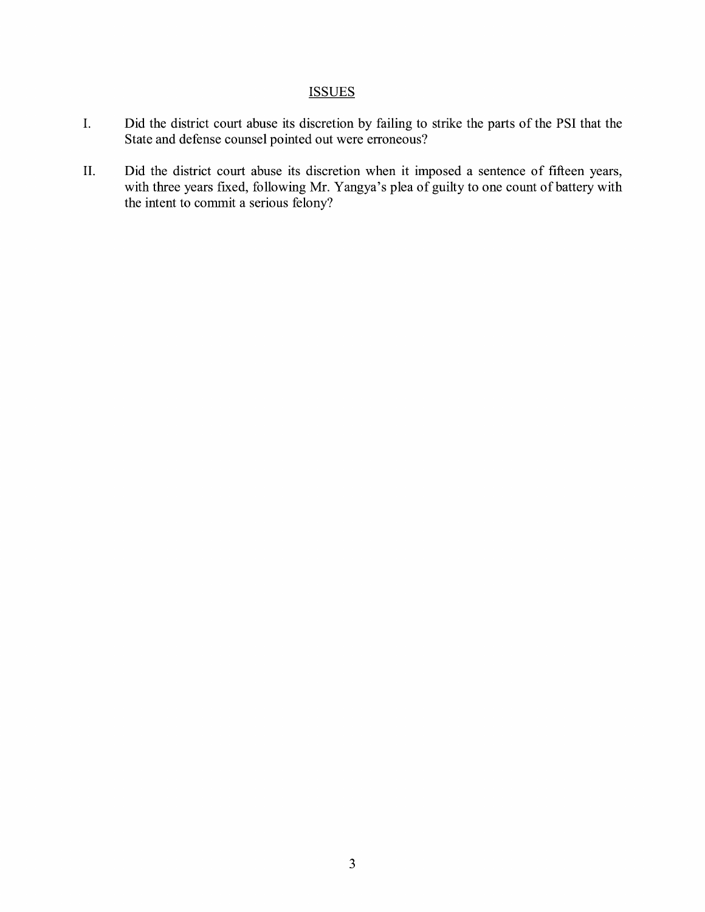## **ISSUES**

- I. Did the district court abuse its discretion by failing to strike the parts of the PSI that the State and defense counsel pointed out were erroneous?
- II. Did the district court abuse its discretion when it imposed a sentence of fifteen years, with three years fixed, following Mr. Yangya's plea of guilty to one count of battery with the intent to commit a serious felony?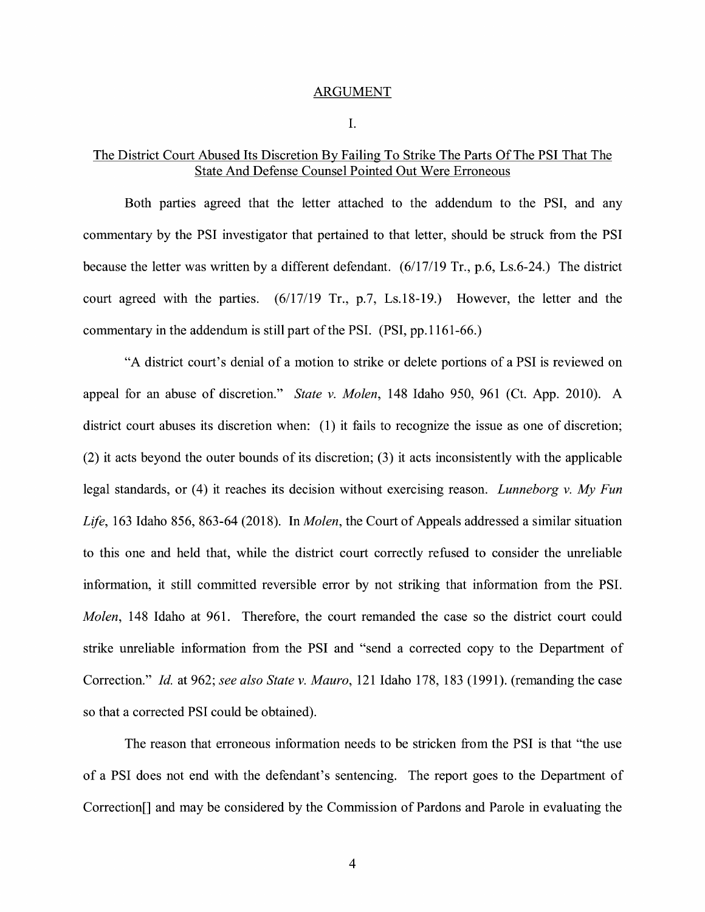#### ARGUMENT

I.

### The District Court Abused Its Discretion By Failing To Strike The Parts Of The PSI That The State And Defense Counsel Pointed Out Were Erroneous

Both parties agreed that the letter attached to the addendum to the PSI, and any commentary by the PSI investigator that pertained to that letter, should be struck from the PSI because the letter was written by a different defendant. (6/17/19 Tr., p.6, Ls.6-24.) The district court agreed with the parties. (6/17/19 Tr., p.7, Ls.18-19.) However, the letter and the commentary in the addendum is still part of the PSI. (PSI, pp.1161-66.)

"A district court's denial of a motion to strike or delete portions of a PSI is reviewed on appeal for an abuse of discretion." *State v. Molen,* 148 Idaho 950, 961 (Ct. App. 2010). A district court abuses its discretion when: (1) it fails to recognize the issue as one of discretion; (2) it acts beyond the outer bounds of its discretion; (3) it acts inconsistently with the applicable legal standards, or ( 4) it reaches its decision without exercising reason. *Lunneborg v. My Fun Life,* 163 Idaho 856, 863-64 (2018). In *Molen,* the Court of Appeals addressed a similar situation to this one and held that, while the district court correctly refused to consider the unreliable information, it still committed reversible error by not striking that information from the PSI. *Molen,* 148 Idaho at 961. Therefore, the court remanded the case so the district court could strike unreliable information from the PSI and "send a corrected copy to the Department of Correction." *Id.* at 962; *see also State v. Mauro,* 121 Idaho 178, 183 (1991). (remanding the case so that a corrected PSI could be obtained).

The reason that erroneous information needs to be stricken from the PSI is that "the use of a PSI does not end with the defendant's sentencing. The report goes to the Department of Correction[] and may be considered by the Commission of Pardons and Parole in evaluating the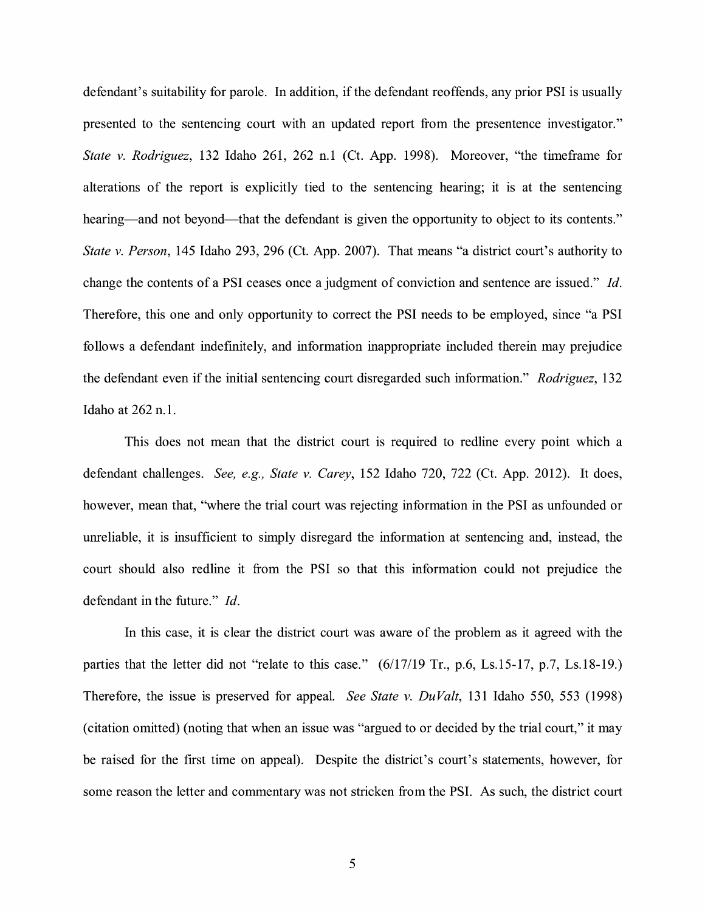defendant's suitability for parole. In addition, if the defendant reoffends, any prior PSI is usually presented to the sentencing court with an updated report from the presentence investigator." *State v. Rodriguez,* 132 Idaho 261, 262 n.1 (Ct. App. 1998). Moreover, "the timeframe for alterations of the report is explicitly tied to the sentencing hearing; it is at the sentencing hearing—and not beyond—that the defendant is given the opportunity to object to its contents." *State v. Person,* 145 Idaho 293, 296 (Ct. App. 2007). That means "a district court's authority to change the contents of a PSI ceases once a judgment of conviction and sentence are issued." *Id.*  Therefore, this one and only opportunity to correct the PSI needs to be employed, since "a PSI follows a defendant indefinitely, and information inappropriate included therein may prejudice the defendant even if the initial sentencing court disregarded such information." *Rodriguez,* 132 Idaho at 262 n.1.

This does not mean that the district court is required to redline every point which a defendant challenges. *See, e.g., State v. Carey,* 152 Idaho 720, 722 (Ct. App. 2012). It does, however, mean that, ''where the trial court was rejecting information in the PSI as unfounded or unreliable, it is insufficient to simply disregard the information at sentencing and, instead, the court should also redline it from the PSI so that this information could not prejudice the defendant in the future." *Id.* 

In this case, it is clear the district court was aware of the problem as it agreed with the parties that the letter did not "relate to this case."  $(6/17/19 \text{ Tr}$ , p.6, Ls.15-17, p.7, Ls.18-19.) Therefore, the issue is preserved for appeal. *See State v. Du Valt,* 131 Idaho 550, 553 (1998) ( citation omitted) (noting that when an issue was "argued to or decided by the trial court," it may be raised for the first time on appeal). Despite the district's court's statements, however, for some reason the letter and commentary was not stricken from the PSI. As such, the district court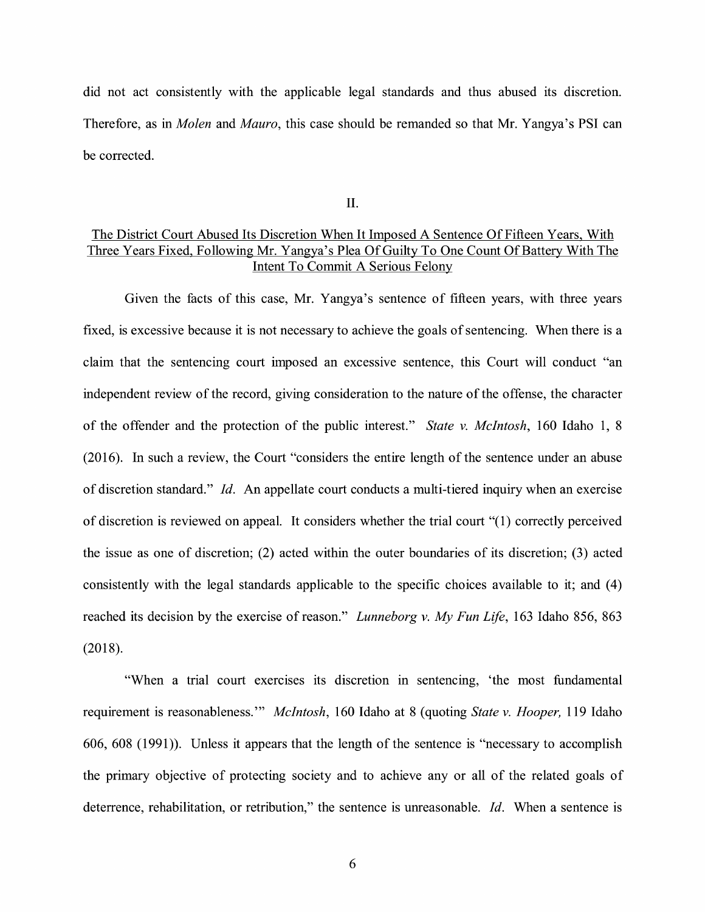did not act consistently with the applicable legal standards and thus abused its discretion. Therefore, as in *Molen* and *Mauro,* this case should be remanded so that Mr. Yangya's PSI can be corrected.

II.

### The District Court Abused Its Discretion When It Imposed A Sentence Of Fifteen Years, With Three Years Fixed, Following Mr. Yangya's Plea Of Guilty To One Count Of Battery With The Intent To Commit A Serious Felony

Given the facts of this case, Mr. Yangya's sentence of fifteen years, with three years fixed, is excessive because it is not necessary to achieve the goals of sentencing. When there is a claim that the sentencing court imposed an excessive sentence, this Court will conduct "an independent review of the record, giving consideration to the nature of the offense, the character of the offender and the protection of the public interest." *State v. McIntosh,* 160 Idaho 1, 8 (2016). In such a review, the Court "considers the entire length of the sentence under an abuse of discretion standard." *Id.* An appellate court conducts a multi-tiered inquiry when an exercise of discretion is reviewed on appeal. It considers whether the trial court "(1) correctly perceived the issue as one of discretion; (2) acted within the outer boundaries of its discretion; (3) acted consistently with the legal standards applicable to the specific choices available to it; and (4) reached its decision by the exercise of reason." *Lunneborg v. My Fun Life,* 163 Idaho 856, 863 (2018).

"When a trial court exercises its discretion in sentencing, 'the most fundamental requirement is reasonableness."' *McIntosh,* 160 Idaho at 8 (quoting *State v. Hooper,* 119 Idaho 606, 608 (1991)). Unless it appears that the length of the sentence is "necessary to accomplish the primary objective of protecting society and to achieve any or all of the related goals of deterrence, rehabilitation, or retribution," the sentence is unreasonable. *Id.* When a sentence is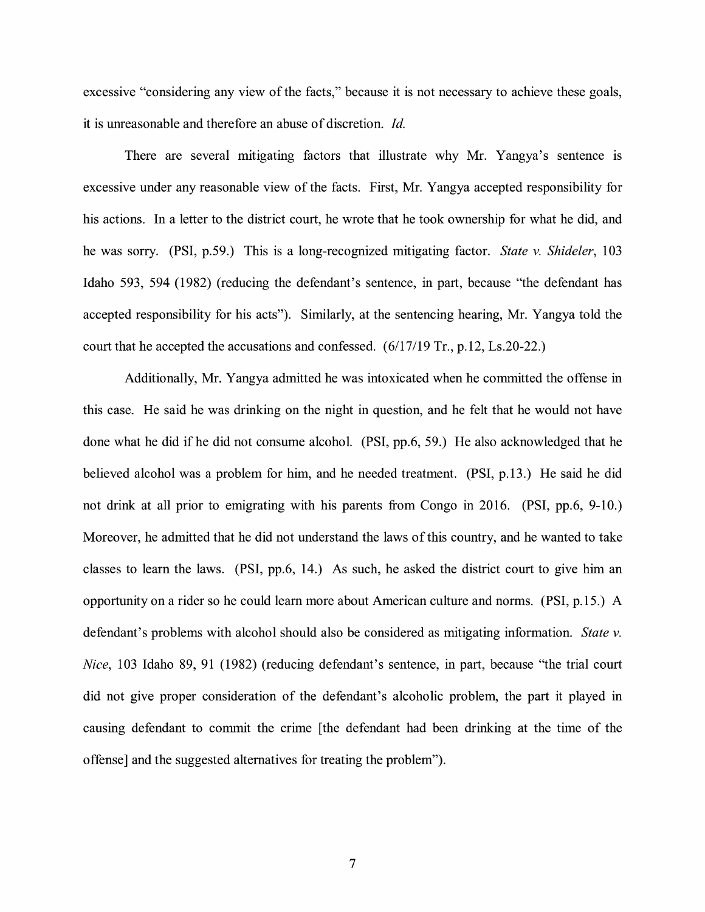excessive "considering any view of the facts," because it is not necessary to achieve these goals, it is unreasonable and therefore an abuse of discretion. *Id.* 

There are several mitigating factors that illustrate why Mr. Yangya's sentence is excessive under any reasonable view of the facts. First, Mr. Y angya accepted responsibility for his actions. In a letter to the district court, he wrote that he took ownership for what he did, and he was sorry. (PSI, p.59.) This is a long-recognized mitigating factor. *State v. Shideler,* 103 Idaho 593, 594 (1982) (reducing the defendant's sentence, in part, because "the defendant has accepted responsibility for his acts"). Similarly, at the sentencing hearing, Mr. Yangya told the court that he accepted the accusations and confessed. (6/17/19 Tr., p.12, Ls.20-22.)

Additionally, Mr. Y angya admitted he was intoxicated when he committed the offense in this case. He said he was drinking on the night in question, and he felt that he would not have done what he did if he did not consume alcohol. (PSI, pp.6, 59.) He also acknowledged that he believed alcohol was a problem for him, and he needed treatment. (PSI, p.13.) He said he did not drink at all prior to emigrating with his parents from Congo in 2016. (PSI, pp.6, 9-10.) Moreover, he admitted that he did not understand the laws of this country, and he wanted to take classes to learn the laws. (PSI, pp.6, 14.) As such, he asked the district court to give him an opportunity on a rider so he could learn more about American culture and norms. (PSI, p.15.) A defendant's problems with alcohol should also be considered as mitigating information. *State* v. *Nice,* 103 Idaho 89, 91 (1982) (reducing defendant's sentence, in part, because "the trial court did not give proper consideration of the defendant's alcoholic problem, the part it played in causing defendant to commit the crime [the defendant had been drinking at the time of the offense] and the suggested alternatives for treating the problem").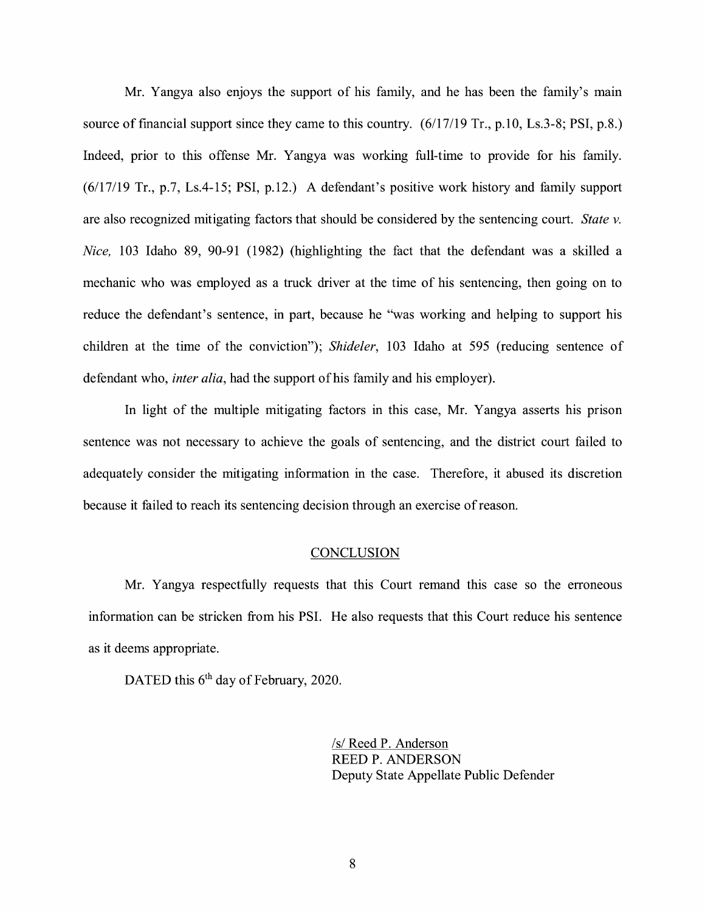Mr. Yangya also enjoys the support of his family, and he has been the family's main source of financial support since they came to this country.  $(6/17/19 \text{ Tr}., p.10, Ls.3-8; PSI, p.8.)$ Indeed, prior to this offense Mr. Yangya was working full-time to provide for his family. (6/17/19 Tr., p.7, Ls.4-15; PSI, p.12.) A defendant's positive work history and family support are also recognized mitigating factors that should be considered by the sentencing court. *State v. Nice*, 103 Idaho 89, 90-91 (1982) (highlighting the fact that the defendant was a skilled a mechanic who was employed as a truck driver at the time of his sentencing, then going on to reduce the defendant's sentence, in part, because he "was working and helping to support his children at the time of the conviction"); *Shideler,* 103 Idaho at 595 (reducing sentence of defendant who, *inter alia,* had the support of his family and his employer).

In light of the multiple mitigating factors in this case, Mr. Yangya asserts his prison sentence was not necessary to achieve the goals of sentencing, and the district court failed to adequately consider the mitigating information in the case. Therefore, it abused its discretion because it failed to reach its sentencing decision through an exercise of reason.

#### **CONCLUSION**

Mr. Yangya respectfully requests that this Court remand this case so the erroneous information can be stricken from his PSI. He also requests that this Court reduce his sentence as it deems appropriate.

DATED this  $6<sup>th</sup>$  day of February, 2020.

*Is/* Reed P. Anderson REED P. ANDERSON Deputy State Appellate Public Defender